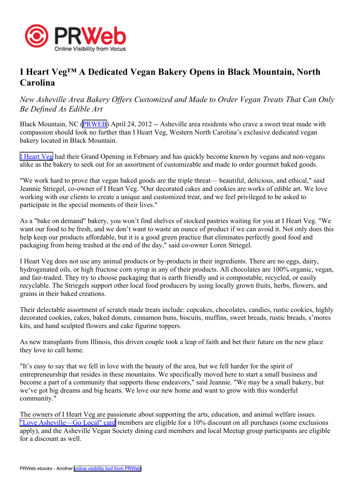

## **I Heart Veg™ A Dedicated Vegan Bakery Opens in Black Mountain, North Carolina**

*New Asheville Area Bakery Offers Customized and Made to Order Vegan Treats That Can Only Be Defined As Edible Art*

Black Mountain, NC [\(PRWEB\)](http://www.prweb.com) April 24, 2012 -- Asheville area residents who crave a sweet treat made with compassion should look no further than I Heart Veg, Western North Carolina's exclusive dedicated vegan bakery located in Black Mountain.

I [Heart](http://www.iheartveg.com) Veg had their Grand Opening in February and has quickly become known by vegans and non-vegans alike as the bakery to seek out for an assortment of customizable and made to order gourme<sup>t</sup> baked goods.

"We work hard to prove that vegan baked goods are the triple threat— beautiful, delicious, and ethical," said Jeannie Striegel, co-owner of I Heart Veg. "Our decorated cakes and cookies are works of edible art. We love working with our clients to create <sup>a</sup> unique and customized treat, and we feel privileged to be asked to participate in the special moments of their lives."

As <sup>a</sup> "bake on demand" bakery, you won't find shelves of stocked pastries waiting for you at I Heart Veg. "We want our food to be fresh, and we don't want to waste an ounce of product if we can avoid it. Not only does this help keep our products affordable, but it is <sup>a</sup> good green practice that eliminates perfectly good food and packaging from being trashed at the end of the day," said co-owner Loren Striegel.

I Heart Veg does not use any animal products or by-products in their ingredients. There are no eggs, dairy, hydrogenated oils, or high fructose corn syrup in any of their products. All chocolates are 100% organic, vegan, and fair-traded. They try to choose packaging that is earth friendly and is compostable, recycled, or easily recyclable. The Striegels suppor<sup>t</sup> other local food producers by using locally grown fruits, herbs, flowers, and grains in their baked creations.

Their delectable assortment of scratch made treats include: cupcakes, chocolates, candies, rustic cookies, highly decorated cookies, cakes, baked donuts, cinnamon buns, biscuits, muffins, sweet breads, rustic breads, <sup>s</sup>'mores kits, and hand sculpted flowers and cake figurine toppers.

As new transplants from Illinois, this driven couple took <sup>a</sup> leap of faith and bet their future on the new place they love to call home.

"It's easy to say that we fell in love with the beauty of the area, but we fell harder for the spirit of entrepreneurship that resides in these mountains. We specifically moved here to start <sup>a</sup> small business and become <sup>a</sup> par<sup>t</sup> of <sup>a</sup> community that supports those endeavors," said Jeannie. "We may be <sup>a</sup> small bakery, but we've go<sup>t</sup> big dreams and big hearts. We love our new home and want to grow with this wonderful community."

The owners of I Heart Veg are passionate about supporting the arts, education, and animal welfare issues. "Love [Asheville—Go](http://ashevillegrown.wordpress.com/go-local-card/) Local" card members are eligible for <sup>a</sup> 10% discount on all purchases (some exclusions apply), and the Asheville Vegan Society dining card members and local Meetup group participants are eligible for <sup>a</sup> discount as well.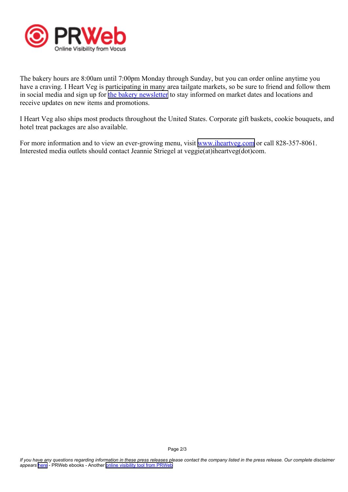

The bakery hours are 8:00am until 7:00pm Monday through Sunday, but you can order online anytime you have <sup>a</sup> craving. I Heart Veg is participating in many area tailgate markets, so be sure to friend and follow them in social media and sign up for the bakery [newsletter](http://eepurl.com/iW2QP) to stay informed on market dates and locations and receive updates on new items and promotions.

I Heart Veg also ships most products throughout the United States. Corporate gift baskets, cookie bouquets, and hotel treat packages are also available.

For more information and to view an ever-growing menu, visit [www.iheartveg.com](http://www.iheartveg.com) or call 828-357-8061. Interested media outlets should contact Jeannie Striegel at veggie(at)iheartveg(dot)com.